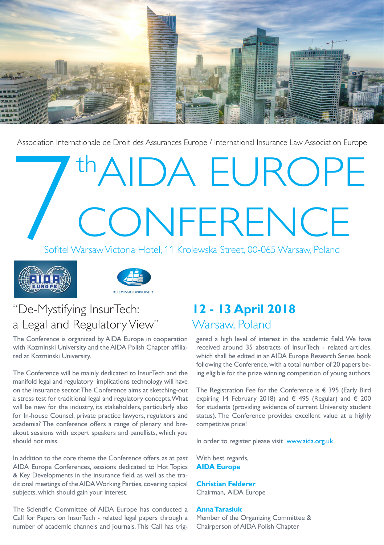

Association Internationale de Droit des Assurances Europe / International Insurance Law Association Europe

# <sup>th</sup>AIDA EUROPE<br>CONFERENCE

Sofitel Warsaw Victoria Hotel, 11 Krolewska Street, 00-065 Warsaw, Poland





# "De-Mystifying InsurTech: a Legal and Regulatory View"

The Conference is organized by AIDA Europe in cooperation with Kozminski University and the AIDA Polish Chapter affiliated at Kozminski University.

The Conference will be mainly dedicated to InsurTech and the manifold legal and regulatory implications technology will have on the insurance sector. The Conference aims at sketching-out a stress test for traditional legal and regulatory concepts. What will be new for the industry, its stakeholders, particularly also for In-house Counsel, private practice lawyers, regulators and academia? The conference offers a range of plenary and breakout sessions with expert speakers and panellists, which you should not miss.

In addition to the core theme the Conference offers, as at past AIDA Europe Conferences, sessions dedicated to Hot Topics & Key Developments in the insurance field, as well as the traditional meetings of the AIDA Working Parties, covering topical subjects, which should gain your interest.

The Scientific Committee of AIDA Europe has conducted a Call for Papers on InsurTech - related legal papers through a number of academic channels and journals. This Call has trig-

# **12 - 13 April 2018** Warsaw, Poland

gered a high level of interest in the academic field. We have received around 35 abstracts of InsurTech - related articles, which shall be edited in an AIDA Europe Research Series book following the Conference, with a total number of 20 papers being eligible for the prize winning competition of young authors.

The Registration Fee for the Conference is € 395 (Early Bird expiring 14 February 2018) and € 495 (Regular) and € 200 for students (providing evidence of current University student status). The Conference provides excellent value at a highly competitive price!

In order to register please visit www.aida.org.uk

With best regards, **AIDA Europe** 

# **Christian Felderer**

Chairman, AIDA Europe

**Anna Tarasiuk**

Member of the Organizing Committee & Chairperson of AIDA Polish Chapter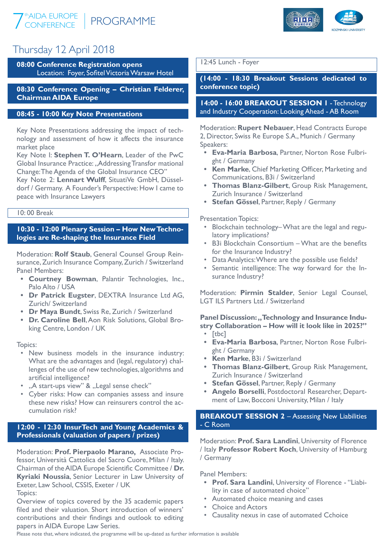

# Thursday 12 April 2018

**08:00 Conference Registration opens** Location: Foyer, Sofitel Victoria Warsaw Hotel

**08:30 Conference Opening – Christian Felderer, Chairman AIDA Europe**

# **08:45 - 10:00 Key Note Presentations**

Key Note Presentations addressing the impact of technology and assessment of how it affects the insurance market place

Key Note I: **Stephen T. O'Hearn**, Leader of the PwC Global Insurance Practice: "Addressing Transfor mational Change: The Agenda of the Global Insurance CEO"

Key Note 2: Lennart Wulff, SituatiVe GmbH, Düsseldorf / Germany. A Founder's Perspective: How I came to peace with Insurance Lawyers

# 10: 00 Break

# **10:30 - 12:00 Plenary Session – How New Technologies are Re-shaping the Insurance Field**

Moderation: **Rolf Staub**, General Counsel Group Reinsurance, Zurich Insurance Company, Zurich / Switzerland Panel Members:

- **• Courtney Bowman**, Palantir Technologies, Inc., Palo Alto / USA
- **• Dr Patrick Eugster**, DEXTRA Insurance Ltd AG, Zurich/ Switzerland
- **• Dr Maya Bundt**, Swiss Re, Zurich / Switzerland
- **• Dr. Caroline Bell**, Aon Risk Solutions, Global Broking Centre, London / UK

# Topics:

- New business models in the insurance industry: What are the advantages and (legal, regulatory) challenges of the use of new technologies, algorithms and artificial intelligence?
- "A start-ups view" & "Legal sense check"
- Cyber risks: How can companies assess and insure these new risks? How can reinsurers control the accumulation risk?

## L **12:00 - 12:30 InsurTech and Young Academics & Professionals (valuation of papers / prizes)**

Moderation: **Prof. Pierpaolo Marano,** Associate Professor, Università Cattolica del Sacro Cuore, Milan / Italy. Chairman of the AIDA Europe Scientific Committee / **Dr. Kyriaki Noussia**, Senior Lecturer in Law University of Exeter, Law School, CSSIS, Exeter / UK Topics:

Overview of topics covered by the 35 academic papers filed and their valuation. Short introduction of winners' contributions and their findings and outlook to editing papers in AIDA Europe Law Series.

12:45 Lunch - Foyer

**(14:00 - 18:30 Breakout Sessions dedicated to conference topic)**

**14:00 - 16:00 BREAKOUT SESSION 1** - Technology and Industry Cooperation: Looking Ahead - AB Room

Moderation: **Rupert Nebauer**, Head Contracts Europe 2, Director, Swiss Re Europe S.A., Munich / Germany Speakers:

- **• Eva-Maria Barbosa**, Partner, Norton Rose Fulbright / Germany
- **• Ken Marke**, Chief Marketing Officer, Marketing and Communications, B3i / Switzerland
- **• Thomas Blanz-Gilbert**, Group Risk Management, Zurich Insurance / Switzerland
- **• Stefan Gössel**, Partner, Reply / Germany

# Presentation Topics:

- Blockchain technology– What are the legal and regulatory implications?
- B3i Blockchain Consortium What are the benefits for the Insurance Industry?
- Data Analytics: Where are the possible use fields?
- Semantic intelligence: The way forward for the Insurance Industry?

Moderation: **Pirmin Stalder**, Senior Legal Counsel, LGT ILS Partners Ltd. / Switzerland

Panel Discussion: .. Technology and Insurance Indu**stry Collaboration – How will it look like in 2025?"**

- [tbc]
- **• Eva-Maria Barbosa**, Partner, Norton Rose Fulbright / Germany
- **• Ken Marke**, B3i / Switzerland
- **• Thomas Blanz-Gilbert**, Group Risk Management, Zurich Insurance / Switzerland
- **• Stefan Gössel**, Partner, Reply / Germany
- **• Angelo Borselli**, Postdoctoral Researcher, Department of Law, Bocconi University, Milan / Italy

# **BREAKOUT SESSION 2 - Assessing New Liabilities** - C Room

Moderation: **Prof. Sara Landini**, University of Florence / Italy **Professor Robert Koch**, University of Hamburg / Germany

Panel Members:

- **• Prof. Sara Landini**, University of Florence "Liability in case of automated choice"
- Automated choice meaning and cases
- Choice and Actors
- Causality nexus in case of automated Cchoice

Please note that, where indicated, the programme will be up-dated as further information is available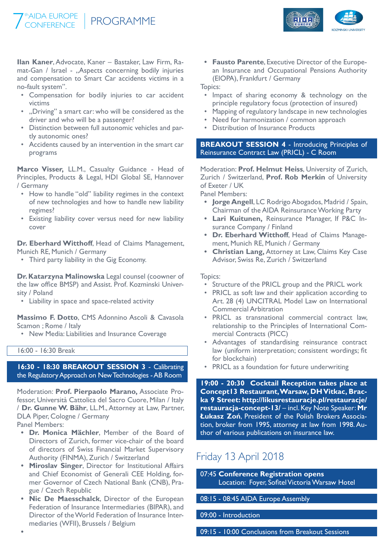thAIDA EUROPE | PROGRAMME



**Ilan Kaner**, Advocate, Kaner – Bastaker, Law Firm, Ramat-Gan / Israel - "Aspects concerning bodily injuries and compensation to Smart Car accidents victims in a no-fault system".

- Compensation for bodily injuries to car accident victims
- "Driving" a smart car: who will be considered as the driver and who will be a passenger?
- Distinction between full autonomic vehicles and partly autonomic ones?
- Accidents caused by an intervention in the smart car programs

**Marco Visser,** LL.M., Casualty Guidance - Head of Principles, Products & Legal, HDI Global SE, Hannover / Germany

- How to handle "old" liability regimes in the context of new technologies and how to handle new liability regimes?
- Existing liability cover versus need for new liability cover

**Dr. Eberhard Witthoff**, Head of Claims Management, Munich RE, Munich / Germany

• Third party liability in the Gig Economy.

**Dr. Katarzyna Malinowska** Legal counsel (coowner of the law office BMSP) and Assist. Prof. Kozminski University / Poland

• Liability in space and space-related activity

**Massimo F. Dotto**, CMS Adonnino Ascoli & Cavasola Scamon ; Rome / Italy

• New Media: Liabilities and Insurance Coverage

16:00 - 16:30 Break

**16:30 - 18:30 BREAKOUT SESSION 3** - Calibrating the Regulatory Approach on New Technologies - AB Room

Moderation: **Prof. Pierpaolo Marano,** Associate Professor, Università Cattolica del Sacro Cuore, Milan / Italy / **Dr. Gunne W. Bähr**, LL.M., Attorney at Law, Partner, DLA Piper, Cologne / Germany

Panel Members:

**•**

- **• Dr. Monica Mächler**, Member of the Board of Directors of Zurich, former vice-chair of the board of directors of Swiss Financial Market Supervisory Authority (FINMA), Zurich / Switzerland
- **• Miroslav Singer**, Director for Institutional Affairs and Chief Economist of Generali CEE Holding, former Governor of Czech National Bank (CNB), Prague / Czech Republic
- **• Nic De Maesschalck**, Director of the European Federation of Insurance Intermediaries (BIPAR), and Director of the World Federation of Insurance Intermediaries (WFII), Brussels / Belgium

**• Fausto Parente**, Executive Director of the European Insurance and Occupational Pensions Authority (EIOPA), Frankfurt / Germany

Topics:

- Impact of sharing economy & technology on the principle regulatory focus (protection of insured)
- Mapping of regulatory landscape in new technologies
- Need for harmonization / common approach
- Distribution of Insurance Products

**BREAKOUT SESSION 4** - Introducing Principles of Reinsurance Contract Law (PRICL) - C Room

Moderation: **Prof. Helmut Heiss**, University of Zurich, Zurich / Switzerland, **Prof. Rob Merkin** of University of Exeter / UK

Panel Members:

- **• Jorge Angell**, LC Rodrigo Abogados, Madrid / Spain, Chairman of the AIDA Reinsurance Working Party
- **• Lari Kuitunen,** Reinsurance Manager, If P&C Insurance Company / Finland
- **• Dr. Eberhard Witthoff**, Head of Claims Management, Munich RE, Munich / Germany
- **• Christian Lang,** Attorney at Law, Claims Key Case Advisor, Swiss Re, Zurich / Switzerland

# Topics:

- Structure of the PRICL group and the PRICL work
- PRICL as soft law and their application according to Art. 28 (4) UNCITRAL Model Law on International Commercial Arbitration
- PRICL as transnational commercial contract law, relationship to the Principles of International Commercial Contracts (PICC)
- Advantages of standardising reinsurance contract law (uniform interpretation; consistent wordings; fit for blockchain)
- PRICL as a foundation for future underwriting

**19:00 - 20:30 Cocktail Reception takes place at Concept13 Restaurant,Warsaw, DH Vitkac, Bracka 9 Street: http://likusrestauracje.pl/restauracje/ restauracja-concept-13/** – incl. Key Note Speaker: **Mr Łukasz Zoń**, President of the Polish Brokers Association, broker from 1995, attorney at law from 1998. Author of various publications on insurance law.

# Friday 13 April 2018

07:45 **Conference Registration opens** Location: Foyer, Sofitel Victoria Warsaw Hotel

08:15 - 08:45 AIDA Europe Assembly

09:00 - Introduction

09:15 - 10:00 Conclusions from Breakout Sessions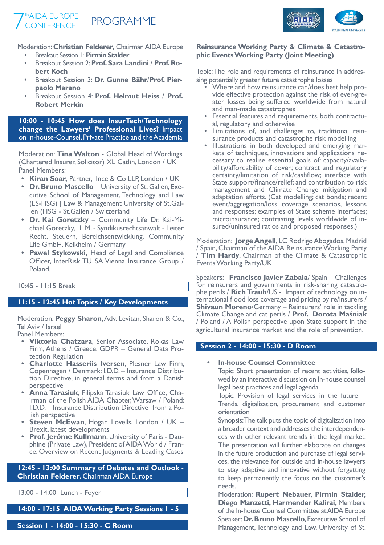# thAIDA EUROPE | PROGRAMME



Moderation: **Christian Felderer,** Chairman AIDA Europe

- Breakout Session 1: **Pirmin Stalder**
- Breakout Session 2: **Prof. Sara Landini** / **Prof. Robert Koch**
- Breakout Session 3: **Dr. Gunne Bähr**/**Prof. Pierpaolo Marano**
- Breakout Session 4: **Prof. Helmut Heiss** / **Prof. Robert Merkin**

**10:00 - 10:45 How does InsurTech/Technology change the Lawyers' Professional Lives?** Impact on In-house-Counsel, Private Practice and the Academia

Moderation: **Tina Walton** - Global Head of Wordings (Chartered Insurer, Solicitor) XL Catlin, London / UK Panel Members:

- **• Kiran Soar,** Partner, Ince & Co LLP, London / UK
- **• Dr. Bruno Mascello** University of St. Gallen, Executive School of Management, Technology and Law (ES-HSG) | Law & Management University of St.Gallen (HSG - St.Gallen / Switzerland
- **• Dr. Kai Goretzky** Community Life Dr. Kai-Michael Goretzky, LL.M. - Syndikusrechtsanwalt - Leiter Recht, Steuern, Bereichsentwicklung, Community Life GmbH, Kelkheim / Germany
- **• Pawel Stykowski,** Head of Legal and Compliance Officer, InterRisk TU SA Vienna Insurance Group / Poland.

# 10:45 - 11:15 Break

# **11:15 - 12:45 Hot Topics / Key Developments**

Moderation: **Peggy Sharon**, Adv. Levitan, Sharon & Co., Tel Aviv / Israel

Panel Members:

- **• Viktoria Chatzara**, Senior Associate, Rokas Law Firm, Athens / Greece: GDPR – General Data Protection Regulation
- **• Charlotte Hasseriis Iversen**, Plesner Law Firm, Copenhagen / Denmark: I.D.D. – Insurance Distribution Directive, in general terms and from a Danish perspective
- **• Anna Tarasiuk**, Filipska Tarasiuk Law Office, Chairman of the Polish AIDA Chapter, Warsaw / Poland: I.D.D. – Insurance Distribution Directive from a Polish perspective
- **• Steven McEwan**, Hogan Lovells, London / UK Brexit, latest developments
- **• Prof. Jerôme Kullmann**, University of Paris Dauphine (Private Law), President of AIDA World / France: Overview on Recent Judgments & Leading Cases

# **12:45 - 13:00 Summary of Debates and Outlook** - **Christian Felderer**, Chairman AIDA Europe

13:00 - 14:00 Lunch - Foyer

**•**

**14:00 - 17:15 AIDA Working Party Sessions 1 - 5**

**Session 1 - 14:00 - 15:30 - C Room**

# **Reinsurance Working Party & Climate & Catastrophic Events Working Party (Joint Meeting)**

Topic: The role and requirements of reinsurance in addressing potentially greater future catastrophe losses

- Where and how reinsurance can/does best help provide effective protection against the risk of ever-greater losses being suffered worldwide from natural and man-made catastrophes
- Essential features and requirements, both contractual, regulatory and otherwise
- Limitations of, and challenges to, traditional reinsurance products and catastrophe risk modelling
- Illustrations in both developed and emerging markets of techniques, innovations and applications necessary to realise essential goals of: capacity/availability/affordability of cover; contract and regulatory certainty/limitation of risk/cashflow; interface with State support/finance/relief; and contribution to risk management and Climate Change mitigation and adaptation efforts. (Cat modelling; cat bonds; recent event/aggregation/loss coverage scenarios, lessons and responses; examples of State scheme interfaces; microinsurance; contrasting levels worldwide of insured/uninsured ratios and proposed responses.)

Moderation: **Jorge Angell**, LC Rodrigo Abogados, Madrid / Spain, Chairman of the AIDA Reinsurance Working Party **Tim Hardy**, Chairman of the Climate & Catastrophic Events Working Party/UK

Speakers: **Francisco Javier Zabala**/ Spain – Challenges for reinsurers and governments in risk-sharing catastrophe perils / **Rich Traub**/US - Impact of technology on international flood loss coverage and pricing by re/insurers / **Shivaun Moreno/Germany - Reinsurers' role in tackling** Climate Change and cat perils / **Prof. Dorota Maśniak**  / Poland / A Polish perspective upon State support in the agricultural insurance market and the role of prevention.

# **Session 2 - 14:00 - 15:30 - D Room**

# **• In-house Counsel Committee**

Topic: Short presentation of recent activities, followed by an interactive discussion on In-house counsel legal best practices and legal agenda.

Topic: Provision of legal services in the future – Trends, digitalization, procurement and customer orientation

Synopsis: The talk puts the topic of digitalization into a broader context and addresses the interdependences with other relevant trends in the legal market. The presentation will further elaborate on changes in the future production and purchase of legal services, the relevance for outside and in-house lawyers to stay adaptive and innovative without forgetting to keep permanently the focus on the customer's needs.

Moderation: **Rupert Nebauer, Pirmin Stalder, Diego Manzetti, Harmender Kalirai,** Members of the In-house Counsel Committee at AIDA Europe Speaker: **Dr. Bruno Mascello**, Excecutive School of Management, Technology and Law, University of St.